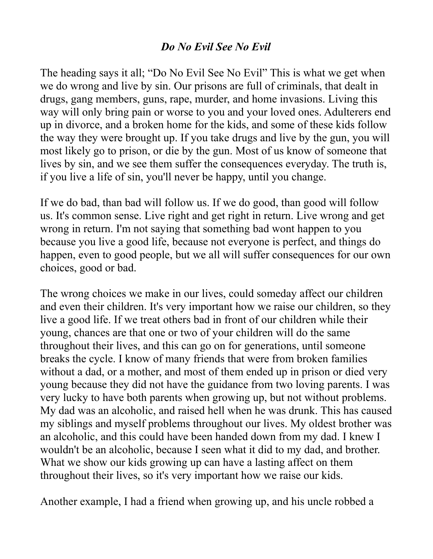## *Do No Evil See No Evil*

The heading says it all; "Do No Evil See No Evil" This is what we get when we do wrong and live by sin. Our prisons are full of criminals, that dealt in drugs, gang members, guns, rape, murder, and home invasions. Living this way will only bring pain or worse to you and your loved ones. Adulterers end up in divorce, and a broken home for the kids, and some of these kids follow the way they were brought up. If you take drugs and live by the gun, you will most likely go to prison, or die by the gun. Most of us know of someone that lives by sin, and we see them suffer the consequences everyday. The truth is, if you live a life of sin, you'll never be happy, until you change.

If we do bad, than bad will follow us. If we do good, than good will follow us. It's common sense. Live right and get right in return. Live wrong and get wrong in return. I'm not saying that something bad wont happen to you because you live a good life, because not everyone is perfect, and things do happen, even to good people, but we all will suffer consequences for our own choices, good or bad.

The wrong choices we make in our lives, could someday affect our children and even their children. It's very important how we raise our children, so they live a good life. If we treat others bad in front of our children while their young, chances are that one or two of your children will do the same throughout their lives, and this can go on for generations, until someone breaks the cycle. I know of many friends that were from broken families without a dad, or a mother, and most of them ended up in prison or died very young because they did not have the guidance from two loving parents. I was very lucky to have both parents when growing up, but not without problems. My dad was an alcoholic, and raised hell when he was drunk. This has caused my siblings and myself problems throughout our lives. My oldest brother was an alcoholic, and this could have been handed down from my dad. I knew I wouldn't be an alcoholic, because I seen what it did to my dad, and brother. What we show our kids growing up can have a lasting affect on them throughout their lives, so it's very important how we raise our kids.

Another example, I had a friend when growing up, and his uncle robbed a